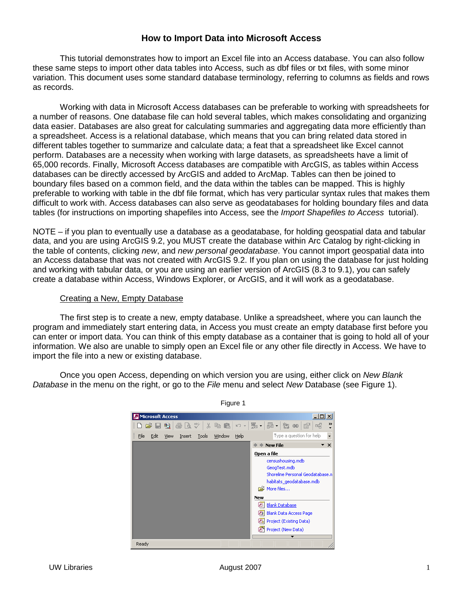## **How to Import Data into Microsoft Access**

This tutorial demonstrates how to import an Excel file into an Access database. You can also follow these same steps to import other data tables into Access, such as dbf files or txt files, with some minor variation. This document uses some standard database terminology, referring to columns as fields and rows as records.

Working with data in Microsoft Access databases can be preferable to working with spreadsheets for a number of reasons. One database file can hold several tables, which makes consolidating and organizing data easier. Databases are also great for calculating summaries and aggregating data more efficiently than a spreadsheet. Access is a relational database, which means that you can bring related data stored in different tables together to summarize and calculate data; a feat that a spreadsheet like Excel cannot perform. Databases are a necessity when working with large datasets, as spreadsheets have a limit of 65,000 records. Finally, Microsoft Access databases are compatible with ArcGIS, as tables within Access databases can be directly accessed by ArcGIS and added to ArcMap. Tables can then be joined to boundary files based on a common field, and the data within the tables can be mapped. This is highly preferable to working with table in the dbf file format, which has very particular syntax rules that makes them difficult to work with. Access databases can also serve as geodatabases for holding boundary files and data tables (for instructions on importing shapefiles into Access, see the *Import Shapefiles to Access* tutorial).

NOTE – if you plan to eventually use a database as a geodatabase, for holding geospatial data and tabular data, and you are using ArcGIS 9.2, you MUST create the database within Arc Catalog by right-clicking in the table of contents, clicking new, and new personal geodatabase. You cannot import geospatial data into an Access database that was not created with ArcGIS 9.2. If you plan on using the database for just holding and working with tabular data, or you are using an earlier version of ArcGIS (8.3 to 9.1), you can safely create a database within Access, Windows Explorer, or ArcGIS, and it will work as a geodatabase.

## Creating a New, Empty Database

The first step is to create a new, empty database. Unlike a spreadsheet, where you can launch the program and immediately start entering data, in Access you must create an empty database first before you can enter or import data. You can think of this empty database as a container that is going to hold all of your information. We also are unable to simply open an Excel file or any other file directly in Access. We have to import the file into a new or existing database.

Once you open Access, depending on which version you are using, either click on New Blank Database in the menu on the right, or go to the File menu and select New Database (see Figure 1).

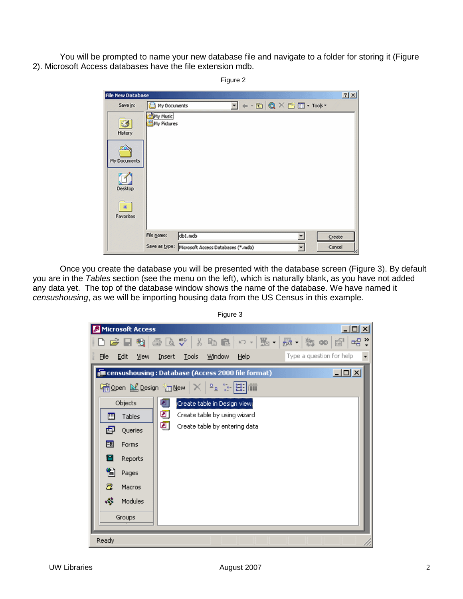You will be prompted to name your new database file and navigate to a folder for storing it (Figure 2). Microsoft Access databases have the file extension mdb.

| <b>File New Database</b>                                  |                         |                                                  |  |                                                                                                                                                                                                                                                                                      | 2 X    |  |
|-----------------------------------------------------------|-------------------------|--------------------------------------------------|--|--------------------------------------------------------------------------------------------------------------------------------------------------------------------------------------------------------------------------------------------------------------------------------------|--------|--|
| Save in:                                                  | My Documents            |                                                  |  | $\boxed{\blacksquare} \leftarrow \textcolor{red}{\blacksquare} \textcolor{red}{\bigcirc} \times \textcolor{red}{\blacksquare} \textcolor{red}{\blacksquare} \textcolor{red}{\blacksquare} \textcolor{red}{\blacksquare} \textcolor{red}{\blacksquare} \textcolor{red}{\blacksquare}$ |        |  |
| ⊛<br>History<br>My Documents<br>Desktop<br>鉴<br>Favorites | My Music<br>My Pictures |                                                  |  |                                                                                                                                                                                                                                                                                      |        |  |
|                                                           | File name:              | db1.mdb                                          |  | ۳                                                                                                                                                                                                                                                                                    | Create |  |
|                                                           |                         | Save as type: Microsoft Access Databases (*.mdb) |  | ₩                                                                                                                                                                                                                                                                                    | Cancel |  |

Once you create the database you will be presented with the database screen (Figure 3). By default you are in the Tables section (see the menu on the left), which is naturally blank, as you have not added any data yet. The top of the database window shows the name of the database. We have named it censushousing, as we will be importing housing data from the US Census in this example.

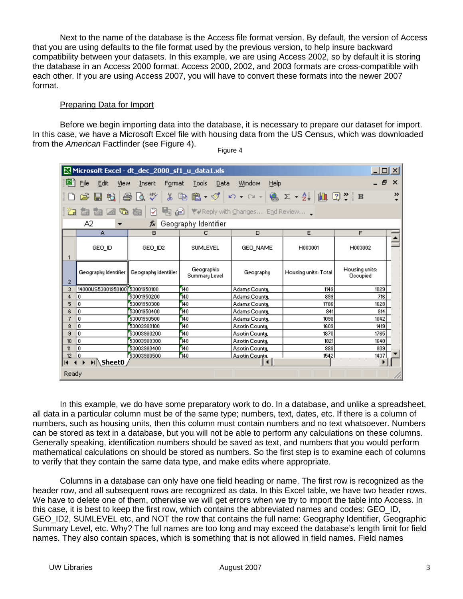Next to the name of the database is the Access file format version. By default, the version of Access that you are using defaults to the file format used by the previous version, to help insure backward compatibility between your datasets. In this example, we are using Access 2002, so by default it is storing the database in an Access 2000 format. Access 2000, 2002, and 2003 formats are cross-compatible with each other. If you are using Access 2007, you will have to convert these formats into the newer 2007 format.

## Preparing Data for Import

Before we begin importing data into the database, it is necessary to prepare our dataset for import. In this case, we have a Microsoft Excel file with housing data from the US Census, which was downloaded from the American Factfinder (see Figure 4).

|                | Microsoft Excel - dt_dec_2000_sf1_u_data1.xls<br>$\Box$ $\Box$ $\times$ |                            |                             |                                                                                                                                                       |                      |                            |          |  |
|----------------|-------------------------------------------------------------------------|----------------------------|-----------------------------|-------------------------------------------------------------------------------------------------------------------------------------------------------|----------------------|----------------------------|----------|--|
| 띄              | Edit<br>File<br>View                                                    | Insert<br>Format           | Tools<br>Data               | Window<br>Help                                                                                                                                        |                      | - 8                        | $\times$ |  |
|                | 6<br>閏                                                                  | ᢟ<br>y,<br>à               |                             |                                                                                                                                                       |                      |                            | ≫        |  |
|                | <b>MA</b><br>$\overline{\mathbf{G}}$                                    | ₽<br>囪                     |                             | $\begin{bmatrix} \begin{bmatrix} 1 & 0 \\ 0 & 0 \end{bmatrix} \end{bmatrix}$ ( $\begin{bmatrix} 2 & 0 \\ 0 & 0 \end{bmatrix}$ with Changes End Review |                      |                            |          |  |
|                | A2                                                                      | fx.                        | Geography Identifier        |                                                                                                                                                       |                      |                            |          |  |
|                | A                                                                       | B                          | c                           | D                                                                                                                                                     | E                    | F                          |          |  |
|                | GEO_ID                                                                  | GEO_ID2                    | SUMLEVEL                    | GEO NAME                                                                                                                                              | H003001              | H003002                    |          |  |
| 2              | Geography Identifier                                                    | Geography Identifier       | Geographic<br>Summary Level | Geography                                                                                                                                             | Housing units: Total | Housing units:<br>Occupied |          |  |
| 3              | 14000US53001950100153001950100                                          |                            | 140                         | Adams County,                                                                                                                                         | 1149                 | 1029                       |          |  |
| 4              | 0                                                                       | 53001950200                | 140                         | Adams County,                                                                                                                                         | 899                  | 716                        |          |  |
| 5              | 0                                                                       | 53001950300                | 140                         | Adams County,                                                                                                                                         | 1786                 | 1628                       |          |  |
| 6              | 0                                                                       | 53001950400                | 140                         | Adams County,                                                                                                                                         | 841                  | 814                        |          |  |
| 7              | 0.                                                                      | 53001950500                | 140                         | Adams County,                                                                                                                                         | 1098                 | 1042                       |          |  |
| 8              | Û                                                                       | 53003980100<br>53003980200 | 140                         | Asotin County,                                                                                                                                        | 1609<br>1870         | 1419<br>1765               |          |  |
| 9<br>10        | 0<br>0                                                                  | 53003980300                | 140<br>140                  | Asotin County,                                                                                                                                        | 1821                 | 1640                       |          |  |
| 11             | 0                                                                       | 53003980400                | 140                         | Asotin County,<br>Asotin County,                                                                                                                      | 888                  | 809                        |          |  |
| 12             | ۱O                                                                      | 53003980500                | 140                         | Asotin Countu.                                                                                                                                        | 1542                 | 1437                       |          |  |
| $\blacksquare$ | $H \setminus$ SheetO                                                    |                            |                             | $\blacktriangleleft$                                                                                                                                  |                      |                            |          |  |
| Ready          |                                                                         |                            |                             |                                                                                                                                                       |                      |                            |          |  |

Figure 4

In this example, we do have some preparatory work to do. In a database, and unlike a spreadsheet, all data in a particular column must be of the same type; numbers, text, dates, etc. If there is a column of numbers, such as housing units, then this column must contain numbers and no text whatsoever. Numbers can be stored as text in a database, but you will not be able to perform any calculations on these columns. Generally speaking, identification numbers should be saved as text, and numbers that you would perform mathematical calculations on should be stored as numbers. So the first step is to examine each of columns to verify that they contain the same data type, and make edits where appropriate.

Columns in a database can only have one field heading or name. The first row is recognized as the header row, and all subsequent rows are recognized as data. In this Excel table, we have two header rows. We have to delete one of them, otherwise we will get errors when we try to import the table into Access. In this case, it is best to keep the first row, which contains the abbreviated names and codes: GEO\_ID, GEO ID2, SUMLEVEL etc, and NOT the row that contains the full name: Geography Identifier, Geographic Summary Level, etc. Why? The full names are too long and may exceed the database's length limit for field names. They also contain spaces, which is something that is not allowed in field names. Field names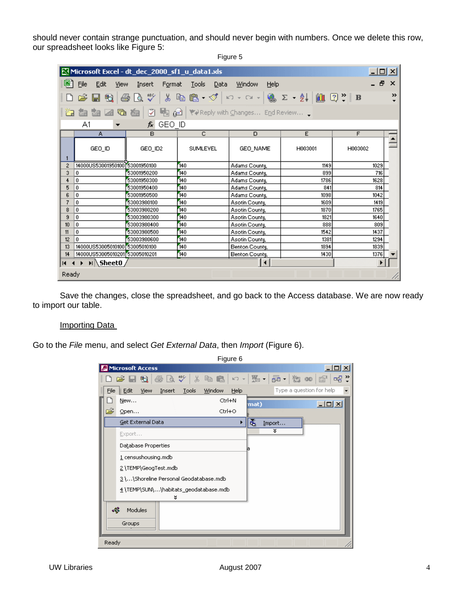should never contain strange punctuation, and should never begin with numbers. Once we delete this row, our spreadsheet looks like Figure 5: Figure 5

|       | Microsoft Excel - dt_dec_2000_sf1_u_data1.xls |                                                            |                      |                                                                                                                                                                                                                                                                                                                                                                                                                                                                                            |         | 니미<br>$\times$        |
|-------|-----------------------------------------------|------------------------------------------------------------|----------------------|--------------------------------------------------------------------------------------------------------------------------------------------------------------------------------------------------------------------------------------------------------------------------------------------------------------------------------------------------------------------------------------------------------------------------------------------------------------------------------------------|---------|-----------------------|
|       | Eile<br>Edit<br>View                          | Insert<br>Format                                           | <b>Tools</b><br>Data | Window<br>Help                                                                                                                                                                                                                                                                                                                                                                                                                                                                             |         | Ð<br>$\times$         |
|       | 冠<br>ê.                                       | $\overset{\text{ABC}}{\blacktriangledown}$<br>$\mathbb{G}$ |                      | % �� ֎ - ♂   ∽ - ∼ -   ֎ Σ - 2↓   ∭ ② -   B                                                                                                                                                                                                                                                                                                                                                                                                                                                |         | ≫                     |
|       | to.<br><b>ZA ZA</b>                           | ☑                                                          |                      | $\blacksquare$ $\blacksquare$ $\blacksquare$ $\blacksquare$ $\blacksquare$ $\blacksquare$ $\blacksquare$ $\blacksquare$ $\blacksquare$ $\blacksquare$ $\blacksquare$ $\blacksquare$ $\blacksquare$ $\blacksquare$ $\blacksquare$ $\blacksquare$ $\blacksquare$ $\blacksquare$ $\blacksquare$ $\blacksquare$ $\blacksquare$ $\blacksquare$ $\blacksquare$ $\blacksquare$ $\blacksquare$ $\blacksquare$ $\blacksquare$ $\blacksquare$ $\blacksquare$ $\blacksquare$ $\blacksquare$ $\blacks$ |         |                       |
|       | A1                                            | GEO_ID<br>fx                                               |                      |                                                                                                                                                                                                                                                                                                                                                                                                                                                                                            |         |                       |
|       | A                                             | B                                                          | C                    | $\Box$                                                                                                                                                                                                                                                                                                                                                                                                                                                                                     | E       | F                     |
|       | GEO_ID                                        | GEO_ID2                                                    | SUMLEVEL             | GEO_NAME                                                                                                                                                                                                                                                                                                                                                                                                                                                                                   | H003001 | H003002               |
| 2     | 14000US53001950100                            | 53001950100                                                | 140                  | Adams County,                                                                                                                                                                                                                                                                                                                                                                                                                                                                              | 1149    | 1029                  |
| 3     | 0                                             | 53001950200                                                | 140                  | Adams County,                                                                                                                                                                                                                                                                                                                                                                                                                                                                              | 899     | 716                   |
| 4     | 0                                             | 53001950300                                                | 140                  | Adams County,                                                                                                                                                                                                                                                                                                                                                                                                                                                                              | 1786    | 1628                  |
| 5     | 0                                             | 53001950400                                                | 140                  | Adams County,                                                                                                                                                                                                                                                                                                                                                                                                                                                                              | 841     | 814                   |
| 6     | 0                                             | 53001950500                                                | 140                  | Adams County,                                                                                                                                                                                                                                                                                                                                                                                                                                                                              | 1098    | 1042                  |
| 7     | Û                                             | 53003980100                                                | 140                  | Asotin County,                                                                                                                                                                                                                                                                                                                                                                                                                                                                             | 1609    | 1419                  |
| 8     | 0                                             | 53003980200                                                | 140                  | Asotin County,                                                                                                                                                                                                                                                                                                                                                                                                                                                                             | 1870    | 1765                  |
| 9     | 0.                                            | 53003980300                                                | 140                  | Asotin County,                                                                                                                                                                                                                                                                                                                                                                                                                                                                             | 1821    | 1640                  |
| 10    | 0                                             | 53003980400                                                | 140                  | Asotin County,                                                                                                                                                                                                                                                                                                                                                                                                                                                                             | 888     | 809                   |
| 11    | 0                                             | 53003980500                                                | 140                  | Asotin County,                                                                                                                                                                                                                                                                                                                                                                                                                                                                             | 1542    | 1437                  |
| 12    | Û                                             | 53003980600                                                | 140                  | Asotin County,                                                                                                                                                                                                                                                                                                                                                                                                                                                                             | 1381    | 1294                  |
| 13    | 14000US53005010100 53005010100                |                                                            | 140                  | Benton County,                                                                                                                                                                                                                                                                                                                                                                                                                                                                             | 1894    | 1839                  |
| 14    | 14000US53005010201 53005010201                |                                                            | 140                  | Benton County,                                                                                                                                                                                                                                                                                                                                                                                                                                                                             | 1430    | 1376                  |
| к     | H Sheet0                                      |                                                            |                      | ∣∢                                                                                                                                                                                                                                                                                                                                                                                                                                                                                         |         | $\blacktriangleright$ |
| Ready |                                               |                                                            |                      |                                                                                                                                                                                                                                                                                                                                                                                                                                                                                            |         |                       |

Save the changes, close the spreadsheet, and go back to the Access database. We are now ready to import our table.

## Importing Data

Go to the File menu, and select Get External Data, then Import (Figure 6).

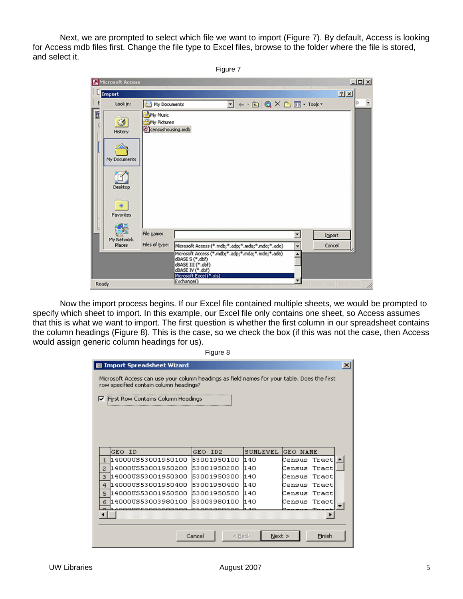Next, we are prompted to select which file we want to import (Figure 7). By default, Access is looking for Access mdb files first. Change the file type to Excel files, browse to the folder where the file is stored, and select it.

Figure 7

|       | Microsoft Access |                                              |                                                                                                              |                         |                                                                                                                                                                                                                                                                                                   |               |        |     | $-10X$ |
|-------|------------------|----------------------------------------------|--------------------------------------------------------------------------------------------------------------|-------------------------|---------------------------------------------------------------------------------------------------------------------------------------------------------------------------------------------------------------------------------------------------------------------------------------------------|---------------|--------|-----|--------|
|       | Import           |                                              | $\mathbf{r}$<br>$\mathbf{A}$                                                                                 | $\sim$<br>$\mathcal{L}$ | $\mathbf{r}$                                                                                                                                                                                                                                                                                      | $\mathcal{A}$ |        | 2 X |        |
|       | Look in:         | My Documents                                 |                                                                                                              |                         | $\boxed{\blacksquare} \leftarrow \textcolor{red}{\blacksquare} \textcolor{red}{\bigcirc} \textcolor{red}{\blacksquare} \times \textcolor{red}{\textcolor{red}{\square} \textcolor{red}{\blacksquare}} \cdot \textcolor{red}{\textcolor{red}{\textbf{Tools}}} \cdot \textcolor{red}{\blacksquare}$ |               |        |     |        |
| đ     | ø<br>History     | My Music<br>My Pictures<br>censushousing.mdb |                                                                                                              |                         |                                                                                                                                                                                                                                                                                                   |               |        |     |        |
|       | My Documents     |                                              |                                                                                                              |                         |                                                                                                                                                                                                                                                                                                   |               |        |     |        |
|       | Desktop          |                                              |                                                                                                              |                         |                                                                                                                                                                                                                                                                                                   |               |        |     |        |
|       | 张<br>Favorites   |                                              |                                                                                                              |                         |                                                                                                                                                                                                                                                                                                   |               |        |     |        |
|       | My Network       | File name:                                   |                                                                                                              |                         |                                                                                                                                                                                                                                                                                                   | ▼             | Import |     |        |
|       | Places           | Files of type:                               | Microsoft Access (*.mdb;*.adp;*.mda;*.mde;*.ade)                                                             |                         |                                                                                                                                                                                                                                                                                                   | ٠             | Cancel |     |        |
|       |                  |                                              | Microsoft Access (*.mdb;*.adp;*.mda;*.mde;*.ade)<br>d8ASE 5 (*.dbf)<br>dBASE III (*.dbf)<br>dBASE IV (*.dbf) |                         |                                                                                                                                                                                                                                                                                                   | A             |        |     |        |
| Ready |                  |                                              | Microsoft Excel (".xls)<br>Exchange()                                                                        |                         |                                                                                                                                                                                                                                                                                                   |               |        |     |        |

Now the import process begins. If our Excel file contained multiple sheets, we would be prompted to specify which sheet to import. In this example, our Excel file only contains one sheet, so Access assumes that this is what we want to import. The first question is whether the first column in our spreadsheet contains the column headings (Figure 8). This is the case, so we check the box (if this was not the case, then Access would assign generic column headings for us).

| r | ٦Ι.<br>11 |  |  |
|---|-----------|--|--|
|   |           |  |  |

| 图 Import Spreadsheet Wizard                                                                                                           |                         |          |                 | $\mathbf{x}$ |  |  |  |
|---------------------------------------------------------------------------------------------------------------------------------------|-------------------------|----------|-----------------|--------------|--|--|--|
| Microsoft Access can use your column headings as field names for your table. Does the first<br>row specified contain column headings? |                         |          |                 |              |  |  |  |
| First Row Contains Column Headings<br>⊽                                                                                               |                         |          |                 |              |  |  |  |
|                                                                                                                                       |                         |          |                 |              |  |  |  |
|                                                                                                                                       |                         |          |                 |              |  |  |  |
|                                                                                                                                       |                         |          |                 |              |  |  |  |
|                                                                                                                                       |                         |          |                 |              |  |  |  |
| GEO ID                                                                                                                                | ID <sub>2</sub><br>GEO. | SUMLEVEL | GEO NAME        |              |  |  |  |
| 14000US53001950100<br>$\mathbf{1}$                                                                                                    | 53001950100             | l140     | Tract<br>Census |              |  |  |  |
| 14000US53001950200<br>2                                                                                                               | 53001950200             | 11 4 N   | Tract<br>Census |              |  |  |  |
| 14000US53001950300<br>3                                                                                                               | 53001950300             | 140      | Tract<br>Census |              |  |  |  |
| 14000US53001950400<br>4                                                                                                               | 53001950400             | 11 4 O   | Census Tract    |              |  |  |  |
| 114000US53001950500<br>5                                                                                                              | 53001950500             | l1 4 N   | Tract<br>Census |              |  |  |  |
| 14000US53003980100<br>6                                                                                                               | 53003980100             | 140      | Tract<br>Census |              |  |  |  |
| ,,,,,,,,,,,,,,,,,,                                                                                                                    |                         |          |                 |              |  |  |  |
|                                                                                                                                       |                         |          |                 |              |  |  |  |
|                                                                                                                                       |                         |          |                 |              |  |  |  |
|                                                                                                                                       | Cancel<br>$<$ Back      | Next     | Finish          |              |  |  |  |
|                                                                                                                                       |                         |          |                 |              |  |  |  |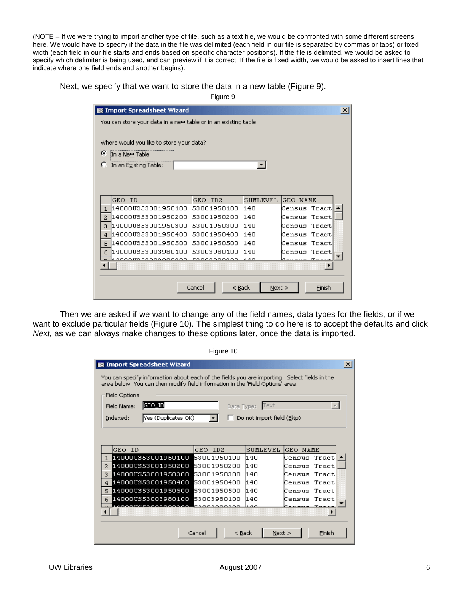(NOTE – If we were trying to import another type of file, such as a text file, we would be confronted with some different screens here. We would have to specify if the data in the file was delimited (each field in our file is separated by commas or tabs) or fixed width (each field in our file starts and ends based on specific character positions). If the file is delimited, we would be asked to specify which delimiter is being used, and can preview if it is correct. If the file is fixed width, we would be asked to insert lines that indicate where one field ends and another begins).

Next, we specify that we want to store the data in a new table (Figure 9).

Figure 9

| <b>S</b> Import Spreadsheet Wizard                              |                    |          |                 | $\vert x \vert$ |
|-----------------------------------------------------------------|--------------------|----------|-----------------|-----------------|
| You can store your data in a new table or in an existing table. |                    |          |                 |                 |
|                                                                 |                    |          |                 |                 |
| Where would you like to store your data?                        |                    |          |                 |                 |
| G<br>In a New Table                                             |                    |          |                 |                 |
| In an Existing Table:                                           |                    |          |                 |                 |
|                                                                 |                    |          |                 |                 |
|                                                                 |                    |          |                 |                 |
| GEO ID                                                          | GEO ID2            | SUMLEVEL | GEO NAME        |                 |
| 14000US53001950100<br>1                                         | 53001950100        | 140      | Tract<br>Census |                 |
| 14000US53001950200<br>$\overline{2}$                            | 53001950200        | 140      | Tract<br>Census |                 |
| 14000US53001950300<br>3                                         | 53001950300        | 140      | Census Tract    |                 |
| 14000US53001950400<br>4                                         | 53001950400        | 140      | Census Tract    |                 |
| 14000US53001950500<br>5                                         | 53001950500        | 11 4 O   | Census<br>Tract |                 |
| 14000US53003980100<br>6                                         | 53003980100        | 140      | Tract<br>Census |                 |
|                                                                 |                    |          | ▶               |                 |
|                                                                 |                    |          |                 |                 |
|                                                                 | Cancel<br>$<$ Back | Next     | Finish          |                 |
|                                                                 |                    |          |                 |                 |

Then we are asked if we want to change any of the field names, data types for the fields, or if we want to exclude particular fields (Figure 10). The simplest thing to do here is to accept the defaults and click Next, as we can always make changes to these options later, once the data is imported.

| $\vert x \vert$<br>图 Import Spreadsheet Wizard                                                                                                                                 |                         |                            |                  |  |  |  |  |
|--------------------------------------------------------------------------------------------------------------------------------------------------------------------------------|-------------------------|----------------------------|------------------|--|--|--|--|
| You can specify information about each of the fields you are importing. Select fields in the<br>area below. You can then modify field information in the 'Field Options' area. |                         |                            |                  |  |  |  |  |
| Field Options                                                                                                                                                                  |                         |                            |                  |  |  |  |  |
| GEO ID<br>Field Name:                                                                                                                                                          | Data Type:              | Text                       | $\mathcal{R}$    |  |  |  |  |
| Yes (Duplicates OK)<br>Indexed:                                                                                                                                                |                         | Do not import field (Skip) |                  |  |  |  |  |
|                                                                                                                                                                                |                         |                            |                  |  |  |  |  |
|                                                                                                                                                                                |                         |                            |                  |  |  |  |  |
| GEO ID                                                                                                                                                                         | GEO.<br>ID <sub>2</sub> | SHMLEVEL                   | GEO NAME         |  |  |  |  |
| 14000US53001950100 53001950100<br>$\mathbf{1}$                                                                                                                                 |                         | 140                        | Tract<br>Census  |  |  |  |  |
| 14000US53001950200 53001950200<br>2                                                                                                                                            |                         | 14 O                       | Tract<br>Census  |  |  |  |  |
| 14000US53001950300 53001950300<br>з                                                                                                                                            |                         | 11 4 N                     | Census Tract     |  |  |  |  |
| 14000US53001950400 53001950400<br>4                                                                                                                                            |                         | 140                        | Census Tract     |  |  |  |  |
| 14000US53001950500 53001950500<br>5                                                                                                                                            |                         | 140                        | Tract<br>Census  |  |  |  |  |
| 14000US53003980100 53003980100<br>6                                                                                                                                            |                         | 140                        | Census<br>Tractl |  |  |  |  |
| 00000000<br>53003000000                                                                                                                                                        |                         |                            |                  |  |  |  |  |
|                                                                                                                                                                                |                         |                            |                  |  |  |  |  |
|                                                                                                                                                                                | Cancel<br>< Back        | Next                       | Finish           |  |  |  |  |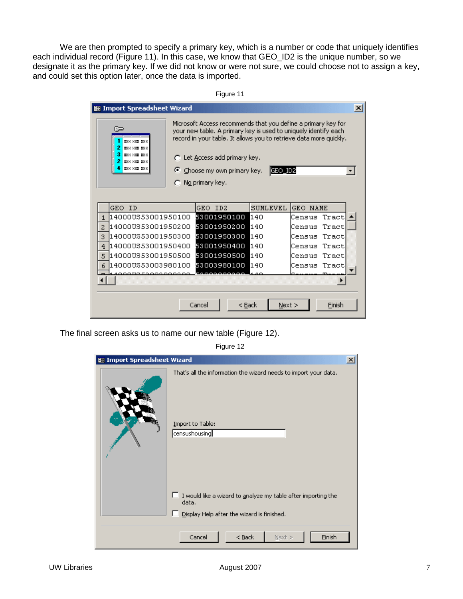We are then prompted to specify a primary key, which is a number or code that uniquely identifies each individual record (Figure 11). In this case, we know that GEO\_ID2 is the unique number, so we designate it as the primary key. If we did not know or were not sure, we could choose not to assign a key, and could set this option later, once the data is imported.

| Figure 11                                                                                                                                                                                                                                                                                                                                                                                                                                             |                                                       |             |        |          |                 |        |  |  |
|-------------------------------------------------------------------------------------------------------------------------------------------------------------------------------------------------------------------------------------------------------------------------------------------------------------------------------------------------------------------------------------------------------------------------------------------------------|-------------------------------------------------------|-------------|--------|----------|-----------------|--------|--|--|
|                                                                                                                                                                                                                                                                                                                                                                                                                                                       | <b>S</b> Import Spreadsheet Wizard<br>$\vert x \vert$ |             |        |          |                 |        |  |  |
| Microsoft Access recommends that you define a primary key for<br>$\overline{\phantom{a}}$<br>your new table. A primary key is used to uniquely identify each<br>record in your table. It allows you to retrieve data more quickly.<br><b>888 888 888</b><br><b>888 888 888</b><br><b>EXXX XXX XXX</b><br>C Let Access add primary key.<br><b>EXX XXX XXX</b><br><b>888 888 888</b><br>G<br>Choose my own primary key.<br>GEO_ID2<br>C No primary key. |                                                       |             |        |          |                 |        |  |  |
| GEO ID                                                                                                                                                                                                                                                                                                                                                                                                                                                |                                                       | GEO ID2     |        | SUMLEVEL | <b>GEO NAME</b> |        |  |  |
| 14000US53001950100<br>$\mathbf{1}$                                                                                                                                                                                                                                                                                                                                                                                                                    |                                                       | 53001950100 |        | 140      | Census          | Tract  |  |  |
| 114000US53001950200<br>$\mathcal{D}$                                                                                                                                                                                                                                                                                                                                                                                                                  |                                                       | 53001950200 |        | 140      | Census          | Tract  |  |  |
| 14000US53001950300<br>3.                                                                                                                                                                                                                                                                                                                                                                                                                              |                                                       | 53001950300 |        | 140      | Census          | Tract  |  |  |
| 14000US53001950400<br>4                                                                                                                                                                                                                                                                                                                                                                                                                               |                                                       | 53001950400 |        | 140      | Census          | Tract  |  |  |
| 14000US53001950500<br>5                                                                                                                                                                                                                                                                                                                                                                                                                               |                                                       | 53001950500 |        | 140      | Census          | Tract  |  |  |
| l14000US53003980100<br>6                                                                                                                                                                                                                                                                                                                                                                                                                              |                                                       | 53003980100 |        | 140      | Census          | Tract  |  |  |
|                                                                                                                                                                                                                                                                                                                                                                                                                                                       | 0000000                                               |             | 0000   |          |                 |        |  |  |
|                                                                                                                                                                                                                                                                                                                                                                                                                                                       |                                                       | Cancel      | < Back | Next     |                 | Finish |  |  |

The final screen asks us to name our new table (Figure 12).

| 83 Import Spreadsheet Wizard |                                                                                                                                  | $\vert x \vert$ |
|------------------------------|----------------------------------------------------------------------------------------------------------------------------------|-----------------|
|                              | That's all the information the wizard needs to import your data.                                                                 |                 |
|                              | Import to Table:<br>censushousing                                                                                                |                 |
|                              | $\Box$ I would like a wizard to analyze my table after importing the<br>data.<br>Е<br>Display Help after the wizard is finished. |                 |
|                              | Cancel<br>$<$ Back<br>Einish<br>$Next$ >                                                                                         |                 |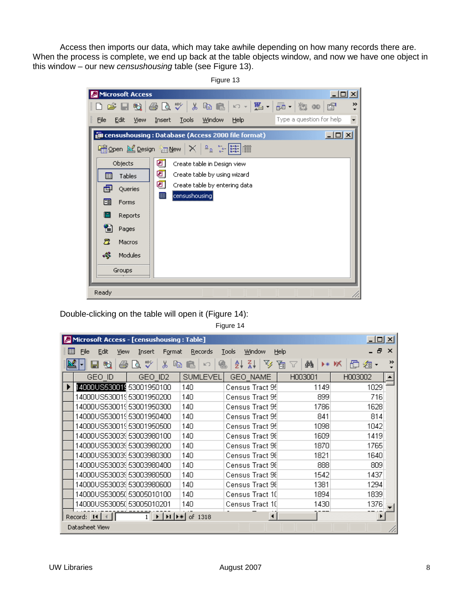Access then imports our data, which may take awhile depending on how many records there are. When the process is complete, we end up back at the table objects window, and now we have one object in this window – our new censushousing table (see Figure 13).

Figure 13

| Microsoft Access      |                                                      | $\Box$ $\Box$ $\times$   |
|-----------------------|------------------------------------------------------|--------------------------|
|                       | D F H H B Q Y X H B O - 题 - 题 - 如 00 F               | ≫                        |
| File<br>Edit<br>View  | Window<br>Help<br><b>Tools</b><br>Insert             | Type a question for help |
|                       | e censushousing : Database (Access 2000 file format) | $-12X$                   |
|                       | Nigopen M_Design "malew X   ºa ∵-  链  iiii           |                          |
| Objects               | ◙<br>Create table in Design view                     |                          |
| 圛<br>Tables           | ◙<br>Create table by using wizard                    |                          |
| 團<br>Queries          | ◙<br>Create table by entering data                   |                          |
| 圏<br>Forms            | 圃<br>censushousing                                   |                          |
| Е<br>Reports          |                                                      |                          |
| 誾<br>Pages            |                                                      |                          |
| Ξ<br>Macros           |                                                      |                          |
| -33<br><b>Modules</b> |                                                      |                          |
| Groups                |                                                      |                          |
|                       |                                                      |                          |
| Ready                 |                                                      |                          |

Double-clicking on the table will open it (Figure 14):

| И | Microsoft Access - [censushousing : Table] |                   |                                                                                        |                      |         | $\Box$ $\Box$ $\times$     |
|---|--------------------------------------------|-------------------|----------------------------------------------------------------------------------------|----------------------|---------|----------------------------|
| 僵 | File<br>Edit<br>View                       | Format<br>Insert  | <b>Records</b>                                                                         | Window<br>Tools      | Help    | 8<br>$\times$              |
|   | 勉<br>н                                     | ᢟ<br>쏢<br>Õ.<br>嚕 | $\mathbb{R}$<br>鲁<br>E.                                                                | v<br>∡₹<br>£↓        | 週<br>đФ | $\rightarrow$<br>⊧∗ M<br>격 |
|   | GEO ID                                     | GEO ID2           | <b>SUMLEVEL</b>                                                                        | GEO NAME             | H003001 | H003002                    |
|   | 14000US530019 53001950100                  |                   | 140                                                                                    | Census Tract 95      | 1149    | 1029                       |
|   | 14000US53001953001950200                   |                   | 140                                                                                    | Census Tract 95      | 899     | 716                        |
|   | 14000US53001953001950300                   |                   | 140                                                                                    | Census Tract 95      | 1786    | 1628                       |
|   | 14000US53001953001950400                   |                   | 140                                                                                    | Census Tract 95      | 841     | 814                        |
|   | 14000US53001953001950500                   |                   | 140                                                                                    | Census Tract 95      | 1098    | 1042                       |
|   | 14000US53003953003980100                   |                   | 140                                                                                    | Census Tract 98      | 1609    | 1419                       |
|   | 14000US53003953003980200                   |                   | 140                                                                                    | Census Tract 98      | 1870    | 1765                       |
|   | 14000US53003953003980300                   |                   | 140                                                                                    | Census Tract 98      | 1821    | 1640                       |
|   | 14000US53003953003980400                   |                   | 140                                                                                    | Census Tract 98      | 888     | 809                        |
|   | 14000US53003953003980500                   |                   | 140                                                                                    | Census Tract 98      | 1542    | 1437                       |
|   | 14000US53003953003980600                   |                   | 140                                                                                    | Census Tract 98      | 1381    | 1294                       |
|   | 14000US53005(153005010100)                 |                   | 140                                                                                    | Census Tract 10      | 1894    | 1839                       |
|   | 14000US53005(153005010201                  |                   | 140                                                                                    | Census Tract 10      | 1430    | 1376                       |
|   | Record: 14                                 |                   | $\blacktriangleright$   $\blacktriangleright$   $\blacktriangleright$ $\ast$   of 1318 | $\blacktriangleleft$ |         | $\blacktriangleright$      |
|   | Datasheet View                             |                   |                                                                                        |                      |         |                            |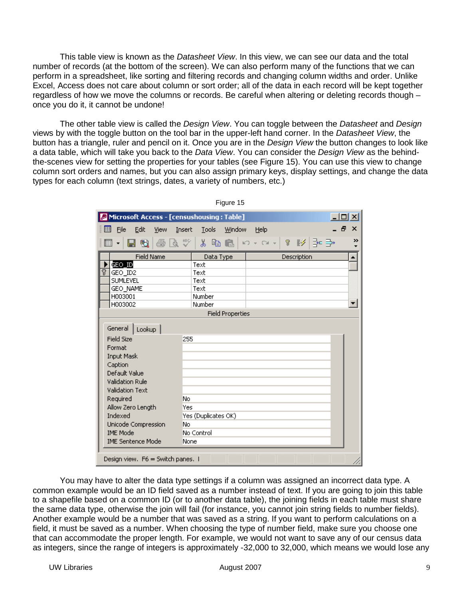This table view is known as the *Datasheet View*. In this view, we can see our data and the total number of records (at the bottom of the screen). We can also perform many of the functions that we can perform in a spreadsheet, like sorting and filtering records and changing column widths and order. Unlike Excel, Access does not care about column or sort order; all of the data in each record will be kept together regardless of how we move the columns or records. Be careful when altering or deleting records though – once you do it, it cannot be undone!

The other table view is called the *Design View*. You can toggle between the *Datasheet* and *Design* views by with the toggle button on the tool bar in the upper-left hand corner. In the Datasheet View, the button has a triangle, ruler and pencil on it. Once you are in the Design View the button changes to look like a data table, which will take you back to the Data View. You can consider the Design View as the behindthe-scenes view for setting the properties for your tables (see Figure 15). You can use this view to change column sort orders and names, but you can also assign primary keys, display settings, and change the data types for each column (text strings, dates, a variety of numbers, etc.)

|                                                                                                                                                                                                                                                                  | Microsoft Access - [censushousing : Table]<br>$ \Box$ $\times$                                              |
|------------------------------------------------------------------------------------------------------------------------------------------------------------------------------------------------------------------------------------------------------------------|-------------------------------------------------------------------------------------------------------------|
| 圍<br>Eile<br>Edit<br>View                                                                                                                                                                                                                                        | Ð.<br>$\boldsymbol{\mathsf{x}}$<br>Tools<br>Window<br>Help<br>Insert                                        |
| は ツ<br>全<br>围<br>團                                                                                                                                                                                                                                               | $\mathbb{E}(\mathbf{I}) \ \neq \ \mathbb{C}[\mathbf{M}] \ \neq \mathbb{C}$<br>∣? ≸∕ ∃≖ <del>⊡)</del><br>人生自 |
| <b>Field Name</b>                                                                                                                                                                                                                                                | Data Type<br>Description                                                                                    |
| GEO_ID                                                                                                                                                                                                                                                           | Text                                                                                                        |
| 7<br>GEO_ID2                                                                                                                                                                                                                                                     | Text                                                                                                        |
| <b>SUMLEVEL</b>                                                                                                                                                                                                                                                  | Text<br>Text                                                                                                |
| GEO_NAME<br>H003001                                                                                                                                                                                                                                              | Number                                                                                                      |
| H003002                                                                                                                                                                                                                                                          | Number                                                                                                      |
|                                                                                                                                                                                                                                                                  | <b>Field Properties</b>                                                                                     |
| General<br>Lookup<br><b>Field Size</b><br>Format<br><b>Input Mask</b><br>Caption<br>Default Value<br>Validation Rule<br><b>Validation Text</b><br>Required<br>Allow Zero Length<br>Indexed<br>Unicode Compression<br><b>IME Mode</b><br><b>IME Sentence Mode</b> | 255<br>No.<br>Yes<br>Yes (Duplicates OK)<br>No<br>No Control<br>None                                        |

Figure 15

You may have to alter the data type settings if a column was assigned an incorrect data type. A common example would be an ID field saved as a number instead of text. If you are going to join this table to a shapefile based on a common ID (or to another data table), the joining fields in each table must share the same data type, otherwise the join will fail (for instance, you cannot join string fields to number fields). Another example would be a number that was saved as a string. If you want to perform calculations on a field, it must be saved as a number. When choosing the type of number field, make sure you choose one that can accommodate the proper length. For example, we would not want to save any of our census data as integers, since the range of integers is approximately -32,000 to 32,000, which means we would lose any